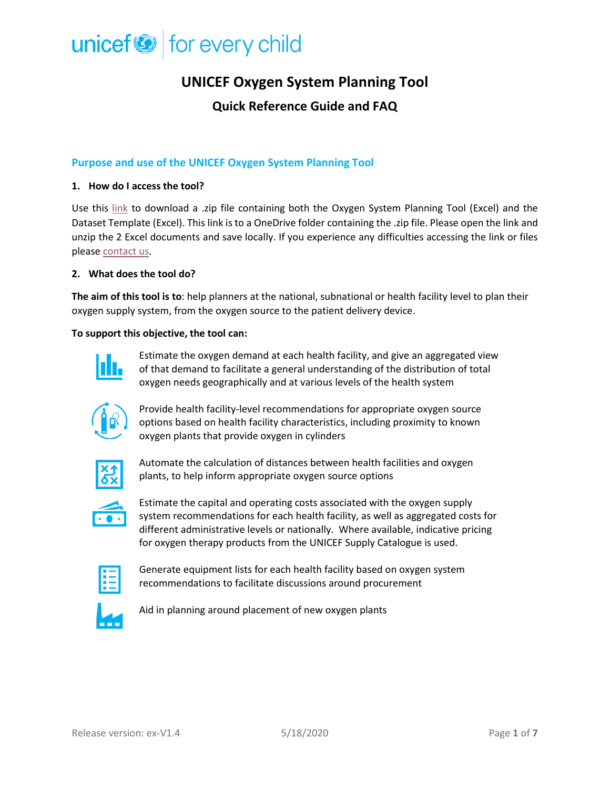## **UNICEF Oxygen System Planning Tool**

### **Quick Reference Guide and FAQ**

### **Purpose and use of the UNICEF Oxygen System Planning Tool**

#### **1. How do I access the tool?**

Use this [link](https://unicef-my.sharepoint.com/:f:/g/personal/cmcwhorter_unicef_org/EtP1QuL-9dhDjSwmY03zp5kBiboCOcWut9FCTHz1fmvElA?e=PXRWgA) to download a .zip file containing both the Oxygen System Planning Tool (Excel) and the Dataset Template (Excel). This link is to a OneDrive folder containing the .zip file. Please open the link and unzip the 2 Excel documents and save locally. If you experience any difficulties accessing the link or files please [contact us.](mailto:innovateforchildren@unicef.org?subject=Oxygen%20System%20Planning%20Tool)

#### **2. What does the tool do?**

**The aim of this tool is to**: help planners at the national, subnational or health facility level to plan their oxygen supply system, from the oxygen source to the patient delivery device.

#### **To support this objective, the tool can:**



Estimate the oxygen demand at each health facility, and give an aggregated view of that demand to facilitate a general understanding of the distribution of total oxygen needs geographically and at various levels of the health system



Provide health facility-level recommendations for appropriate oxygen source options based on health facility characteristics, including proximity to known oxygen plants that provide oxygen in cylinders



Automate the calculation of distances between health facilities and oxygen plants, to help inform appropriate oxygen source options



Estimate the capital and operating costs associated with the oxygen supply system recommendations for each health facility, as well as aggregated costs for different administrative levels or nationally. Where available, indicative pricing for oxygen therapy products from the UNICEF Supply Catalogue is used.



Generate equipment lists for each health facility based on oxygen system recommendations to facilitate discussions around procurement



Aid in planning around placement of new oxygen plants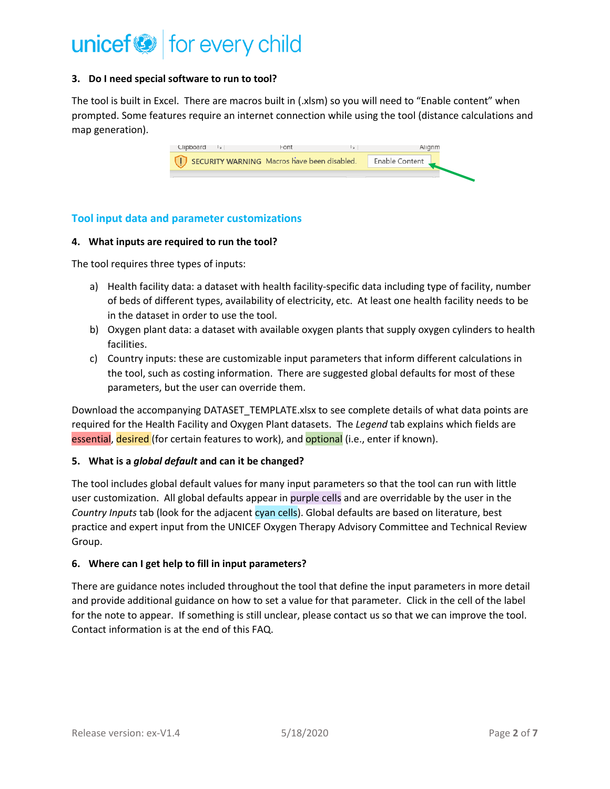#### **3. Do I need special software to run to tool?**

The tool is built in Excel. There are macros built in (.xlsm) so you will need to "Enable content" when prompted. Some features require an internet connection while using the tool (distance calculations and map generation).

| Clipboard<br>- 150                          | Font | $\sim$ | lianm                       |
|---------------------------------------------|------|--------|-----------------------------|
| SECURITY WARNING Macros have been disabled. |      |        | <sup>'</sup> Enable Content |
|                                             |      |        |                             |

### **Tool input data and parameter customizations**

#### **4. What inputs are required to run the tool?**

The tool requires three types of inputs:

- a) Health facility data: a dataset with health facility-specific data including type of facility, number of beds of different types, availability of electricity, etc. At least one health facility needs to be in the dataset in order to use the tool.
- b) Oxygen plant data: a dataset with available oxygen plants that supply oxygen cylinders to health facilities.
- c) Country inputs: these are customizable input parameters that inform different calculations in the tool, such as costing information. There are suggested global defaults for most of these parameters, but the user can override them.

Download the accompanying DATASET\_TEMPLATE.xlsx to see complete details of what data points are required for the Health Facility and Oxygen Plant datasets. The *Legend* tab explains which fields are essential, desired (for certain features to work), and optional (i.e., enter if known).

#### **5. What is a** *global default* **and can it be changed?**

The tool includes global default values for many input parameters so that the tool can run with little user customization. All global defaults appear in purple cells and are overridable by the user in the *Country Inputs* tab (look for the adjacent cyan cells). Global defaults are based on literature, best practice and expert input from the UNICEF Oxygen Therapy Advisory Committee and Technical Review Group.

#### **6. Where can I get help to fill in input parameters?**

There are guidance notes included throughout the tool that define the input parameters in more detail and provide additional guidance on how to set a value for that parameter. Click in the cell of the label for the note to appear. If something is still unclear, please contact us so that we can improve the tool. Contact information is at the end of this FAQ.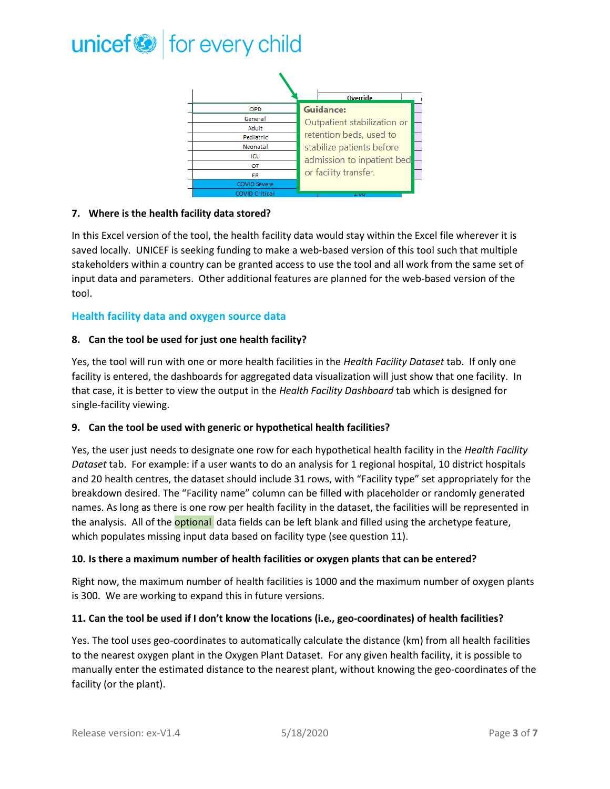

#### **7. Where is the health facility data stored?**

In this Excel version of the tool, the health facility data would stay within the Excel file wherever it is saved locally. UNICEF is seeking funding to make a web-based version of this tool such that multiple stakeholders within a country can be granted access to use the tool and all work from the same set of input data and parameters. Other additional features are planned for the web-based version of the tool.

#### **Health facility data and oxygen source data**

#### **8. Can the tool be used for just one health facility?**

Yes, the tool will run with one or more health facilities in the *Health Facility Dataset* tab. If only one facility is entered, the dashboards for aggregated data visualization will just show that one facility. In that case, it is better to view the output in the *Health Facility Dashboard* tab which is designed for single-facility viewing.

#### **9. Can the tool be used with generic or hypothetical health facilities?**

Yes, the user just needs to designate one row for each hypothetical health facility in the *Health Facility Dataset* tab. For example: if a user wants to do an analysis for 1 regional hospital, 10 district hospitals and 20 health centres, the dataset should include 31 rows, with "Facility type" set appropriately for the breakdown desired. The "Facility name" column can be filled with placeholder or randomly generated names. As long as there is one row per health facility in the dataset, the facilities will be represented in the analysis. All of the **optional** data fields can be left blank and filled using the archetype feature, which populates missing input data based on facility type (see question 11).

#### **10. Is there a maximum number of health facilities or oxygen plants that can be entered?**

Right now, the maximum number of health facilities is 1000 and the maximum number of oxygen plants is 300. We are working to expand this in future versions.

#### **11. Can the tool be used if I don't know the locations (i.e., geo-coordinates) of health facilities?**

Yes. The tool uses geo-coordinates to automatically calculate the distance (km) from all health facilities to the nearest oxygen plant in the Oxygen Plant Dataset. For any given health facility, it is possible to manually enter the estimated distance to the nearest plant, without knowing the geo-coordinates of the facility (or the plant).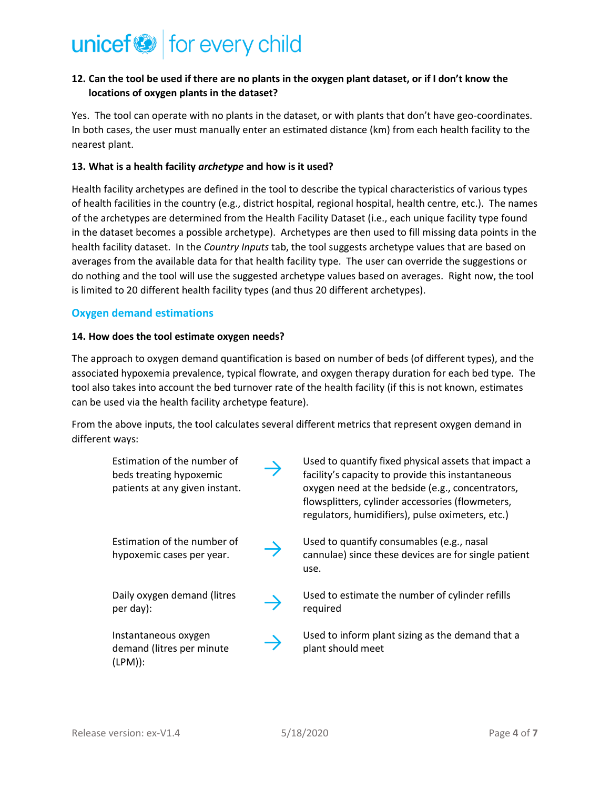### **12. Can the tool be used if there are no plants in the oxygen plant dataset, or if I don't know the locations of oxygen plants in the dataset?**

Yes. The tool can operate with no plants in the dataset, or with plants that don't have geo-coordinates. In both cases, the user must manually enter an estimated distance (km) from each health facility to the nearest plant.

#### **13. What is a health facility** *archetype* **and how is it used?**

Health facility archetypes are defined in the tool to describe the typical characteristics of various types of health facilities in the country (e.g., district hospital, regional hospital, health centre, etc.). The names of the archetypes are determined from the Health Facility Dataset (i.e., each unique facility type found in the dataset becomes a possible archetype). Archetypes are then used to fill missing data points in the health facility dataset. In the *Country Inputs* tab, the tool suggests archetype values that are based on averages from the available data for that health facility type. The user can override the suggestions or do nothing and the tool will use the suggested archetype values based on averages. Right now, the tool is limited to 20 different health facility types (and thus 20 different archetypes).

#### **Oxygen demand estimations**

#### **14. How does the tool estimate oxygen needs?**

The approach to oxygen demand quantification is based on number of beds (of different types), and the associated hypoxemia prevalence, typical flowrate, and oxygen therapy duration for each bed type. The tool also takes into account the bed turnover rate of the health facility (if this is not known, estimates can be used via the health facility archetype feature).

From the above inputs, the tool calculates several different metrics that represent oxygen demand in different ways:

| Estimation of the number of<br>beds treating hypoxemic<br>patients at any given instant. | Used to quantify fixed physical assets that impact a<br>facility's capacity to provide this instantaneous<br>oxygen need at the bedside (e.g., concentrators,<br>flowsplitters, cylinder accessories (flowmeters,<br>regulators, humidifiers), pulse oximeters, etc.) |
|------------------------------------------------------------------------------------------|-----------------------------------------------------------------------------------------------------------------------------------------------------------------------------------------------------------------------------------------------------------------------|
| Estimation of the number of<br>hypoxemic cases per year.                                 | Used to quantify consumables (e.g., nasal<br>cannulae) since these devices are for single patient<br>use.                                                                                                                                                             |
| Daily oxygen demand (litres<br>per day):                                                 | Used to estimate the number of cylinder refills<br>required                                                                                                                                                                                                           |
| Instantaneous oxygen<br>demand (litres per minute<br>$(LPM)$ :                           | Used to inform plant sizing as the demand that a<br>plant should meet                                                                                                                                                                                                 |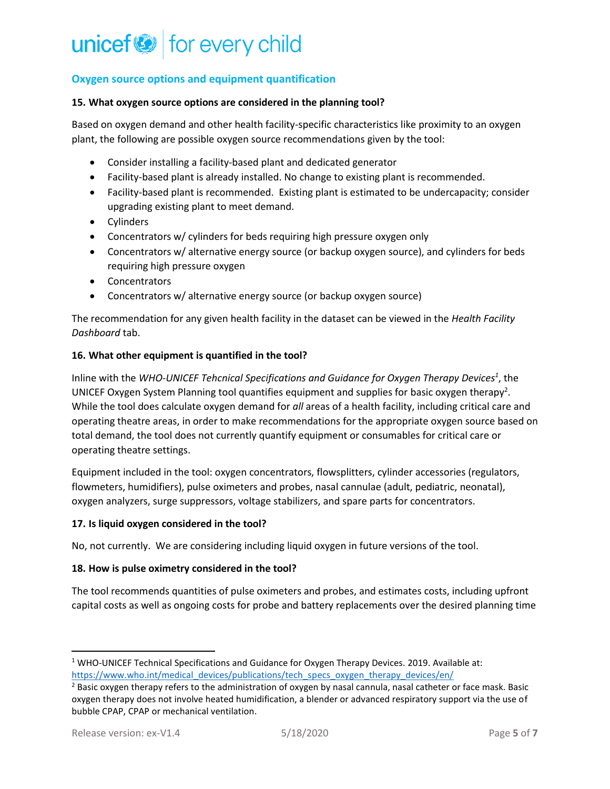### **Oxygen source options and equipment quantification**

#### **15. What oxygen source options are considered in the planning tool?**

Based on oxygen demand and other health facility-specific characteristics like proximity to an oxygen plant, the following are possible oxygen source recommendations given by the tool:

- Consider installing a facility-based plant and dedicated generator
- Facility-based plant is already installed. No change to existing plant is recommended.
- Facility-based plant is recommended. Existing plant is estimated to be undercapacity; consider upgrading existing plant to meet demand.
- Cylinders
- Concentrators w/ cylinders for beds requiring high pressure oxygen only
- Concentrators w/ alternative energy source (or backup oxygen source), and cylinders for beds requiring high pressure oxygen
- Concentrators
- Concentrators w/ alternative energy source (or backup oxygen source)

The recommendation for any given health facility in the dataset can be viewed in the *Health Facility Dashboard* tab.

#### **16. What other equipment is quantified in the tool?**

Inline with the *WHO-UNICEF Tehcnical Specifications and Guidance for Oxygen Therapy Devices<sup>1</sup>* , the UNICEF Oxygen System Planning tool quantifies equipment and supplies for basic oxygen therapy<sup>2</sup>. While the tool does calculate oxygen demand for *all* areas of a health facility, including critical care and operating theatre areas, in order to make recommendations for the appropriate oxygen source based on total demand, the tool does not currently quantify equipment or consumables for critical care or operating theatre settings.

Equipment included in the tool: oxygen concentrators, flowsplitters, cylinder accessories (regulators, flowmeters, humidifiers), pulse oximeters and probes, nasal cannulae (adult, pediatric, neonatal), oxygen analyzers, surge suppressors, voltage stabilizers, and spare parts for concentrators.

#### **17. Is liquid oxygen considered in the tool?**

No, not currently. We are considering including liquid oxygen in future versions of the tool.

#### **18. How is pulse oximetry considered in the tool?**

The tool recommends quantities of pulse oximeters and probes, and estimates costs, including upfront capital costs as well as ongoing costs for probe and battery replacements over the desired planning time

<sup>&</sup>lt;sup>1</sup> WHO-UNICEF Technical Specifications and Guidance for Oxygen Therapy Devices. 2019. Available at: [https://www.who.int/medical\\_devices/publications/tech\\_specs\\_oxygen\\_therapy\\_devices/en/](https://www.who.int/medical_devices/publications/tech_specs_oxygen_therapy_devices/en/)

<sup>&</sup>lt;sup>2</sup> Basic oxygen therapy refers to the administration of oxygen by nasal cannula, nasal catheter or face mask. Basic oxygen therapy does not involve heated humidification, a blender or advanced respiratory support via the use of bubble CPAP, CPAP or mechanical ventilation.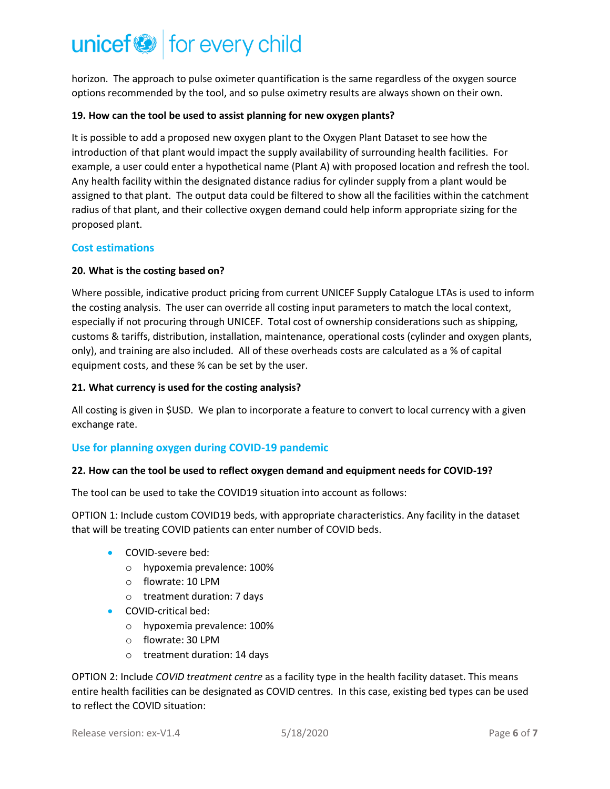horizon. The approach to pulse oximeter quantification is the same regardless of the oxygen source options recommended by the tool, and so pulse oximetry results are always shown on their own.

#### **19. How can the tool be used to assist planning for new oxygen plants?**

It is possible to add a proposed new oxygen plant to the Oxygen Plant Dataset to see how the introduction of that plant would impact the supply availability of surrounding health facilities. For example, a user could enter a hypothetical name (Plant A) with proposed location and refresh the tool. Any health facility within the designated distance radius for cylinder supply from a plant would be assigned to that plant. The output data could be filtered to show all the facilities within the catchment radius of that plant, and their collective oxygen demand could help inform appropriate sizing for the proposed plant.

#### **Cost estimations**

#### **20. What is the costing based on?**

Where possible, indicative product pricing from current UNICEF Supply Catalogue LTAs is used to inform the costing analysis. The user can override all costing input parameters to match the local context, especially if not procuring through UNICEF. Total cost of ownership considerations such as shipping, customs & tariffs, distribution, installation, maintenance, operational costs (cylinder and oxygen plants, only), and training are also included. All of these overheads costs are calculated as a % of capital equipment costs, and these % can be set by the user.

#### **21. What currency is used for the costing analysis?**

All costing is given in \$USD. We plan to incorporate a feature to convert to local currency with a given exchange rate.

#### **Use for planning oxygen during COVID-19 pandemic**

#### **22. How can the tool be used to reflect oxygen demand and equipment needs for COVID-19?**

The tool can be used to take the COVID19 situation into account as follows:

OPTION 1: Include custom COVID19 beds, with appropriate characteristics. Any facility in the dataset that will be treating COVID patients can enter number of COVID beds.

- COVID-severe bed:
	- o hypoxemia prevalence: 100%
	- o flowrate: 10 LPM
	- o treatment duration: 7 days
- COVID-critical bed:
	- o hypoxemia prevalence: 100%
	- o flowrate: 30 LPM
	- o treatment duration: 14 days

OPTION 2: Include *COVID treatment centre* as a facility type in the health facility dataset. This means entire health facilities can be designated as COVID centres. In this case, existing bed types can be used to reflect the COVID situation: